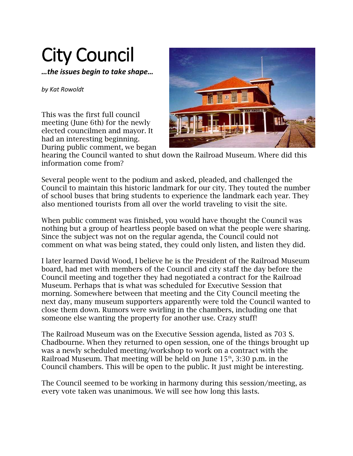## City Council

*…the issues begin to take shape…*

*by Kat Rowoldt*

This was the first full council meeting (June 6th) for the newly elected councilmen and mayor. It had an interesting beginning. During public comment, we began



hearing the Council wanted to shut down the Railroad Museum. Where did this information come from?

Several people went to the podium and asked, pleaded, and challenged the Council to maintain this historic landmark for our city. They touted the number of school buses that bring students to experience the landmark each year. They also mentioned tourists from all over the world traveling to visit the site.

When public comment was finished, you would have thought the Council was nothing but a group of heartless people based on what the people were sharing. Since the subject was not on the regular agenda, the Council could not comment on what was being stated, they could only listen, and listen they did.

I later learned David Wood, I believe he is the President of the Railroad Museum board, had met with members of the Council and city staff the day before the Council meeting and together they had negotiated a contract for the Railroad Museum. Perhaps that is what was scheduled for Executive Session that morning. Somewhere between that meeting and the City Council meeting the next day, many museum supporters apparently were told the Council wanted to close them down. Rumors were swirling in the chambers, including one that someone else wanting the property for another use. Crazy stuff!

The Railroad Museum was on the Executive Session agenda, listed as 703 S. Chadbourne. When they returned to open session, one of the things brought up was a newly scheduled meeting/workshop to work on a contract with the Railroad Museum. That meeting will be held on June  $15<sup>th</sup>$ , 3:30 p.m. in the Council chambers. This will be open to the public. It just might be interesting.

The Council seemed to be working in harmony during this session/meeting, as every vote taken was unanimous. We will see how long this lasts.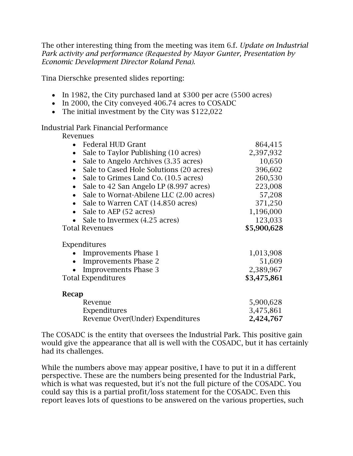The other interesting thing from the meeting was item 6.f. *Update on Industrial Park activity and performance (Requested by Mayor Gunter, Presentation by Economic Development Director Roland Pena).*

Tina Dierschke presented slides reporting:

- In 1982, the City purchased land at \$300 per acre (5500 acres)
- In 2000, the City conveyed 406.74 acres to COSADC
- The initial investment by the City was \$122,022

## Industrial Park Financial Performance

## Revenues

| Federal HUD Grant                                    | 864,415     |
|------------------------------------------------------|-------------|
| Sale to Taylor Publishing (10 acres)                 | 2,397,932   |
| Sale to Angelo Archives (3.35 acres)<br>$\bullet$    | 10,650      |
| Sale to Cased Hole Solutions (20 acres)              | 396,602     |
| Sale to Grimes Land Co. (10.5 acres)                 | 260,530     |
| Sale to 42 San Angelo LP (8.997 acres)               | 223,008     |
| Sale to Wornat-Abilene LLC (2.00 acres)<br>$\bullet$ | 57,208      |
| Sale to Warren CAT (14.850 acres)                    | 371,250     |
| Sale to AEP (52 acres)<br>$\bullet$                  | 1,196,000   |
| Sale to Invermex (4.25 acres)                        | 123,033     |
| <b>Total Revenues</b>                                | \$5,900,628 |
| Expenditures                                         |             |
| <b>Improvements Phase 1</b>                          | 1,013,908   |
| <b>Improvements Phase 2</b><br>$\bullet$             | 51,609      |
| <b>Improvements Phase 3</b>                          | 2,389,967   |
| <b>Total Expenditures</b>                            | \$3,475,861 |
| Recap                                                |             |
| Revenue                                              | 5,900,628   |
| Expenditures                                         | 3,475,861   |
| Revenue Over(Under) Expenditures                     | 2,424,767   |

The COSADC is the entity that oversees the Industrial Park. This positive gain would give the appearance that all is well with the COSADC, but it has certainly had its challenges.

While the numbers above may appear positive, I have to put it in a different perspective. These are the numbers being presented for the Industrial Park, which is what was requested, but it's not the full picture of the COSADC. You could say this is a partial profit/loss statement for the COSADC. Even this report leaves lots of questions to be answered on the various properties, such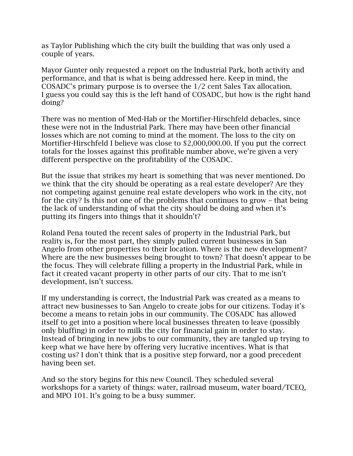as Taylor Publishing which the city built the building that was only used a couple of years.

Mayor Gunter only requested a report on the Industrial Park, both activity and performance, and that is what is being addressed here. Keep in mind, the COSADC's primary purpose is to oversee the 1/2 cent Sales Tax allocation. I guess you could say this is the left hand of COSADC, but how is the right hand doing?

There was no mention of Med-Hab or the Mortifier-Hirschfeld debacles, since these were not in the Industrial Park. There may have been other financial losses which are not coming to mind at the moment. The loss to the city on Mortifier-Hirschfeld I believe was close to \$2,000,000.00. If you put the correct totals for the losses against this profitable number above, we're given a very different perspective on the profitability of the COSADC.

But the issue that strikes my heart is something that was never mentioned. Do we think that the city should be operating as a real estate developer? Are they not competing against genuine real estate developers who work in the city, not for the city? Is this not one of the problems that continues to grow – that being the lack of understanding of what the city should be doing and when it's putting its fingers into things that it shouldn't?

Roland Pena touted the recent sales of property in the Industrial Park, but reality is, for the most part, they simply pulled current businesses in San Angelo from other properties to their location. Where is the new development? Where are the new businesses being brought to town? That doesn't appear to be the focus. They will celebrate filling a property in the Industrial Park, while in fact it created vacant property in other parts of our city. That to me isn't development, isn't success.

If my understanding is correct, the Industrial Park was created as a means to attract new businesses to San Angelo to create jobs for our citizens. Today it's become a means to retain jobs in our community. The COSADC has allowed itself to get into a position where local businesses threaten to leave (possibly only bluffing) in order to milk the city for financial gain in order to stay. Instead of bringing in new jobs to our community, they are tangled up trying to keep what we have here by offering very lucrative incentives. What is that costing us? I don't think that is a positive step forward, nor a good precedent having been set.

And so the story begins for this new Council. They scheduled several workshops for a variety of things: water, railroad museum, water board/TCEQ, and MPO 101. It's going to be a busy summer.